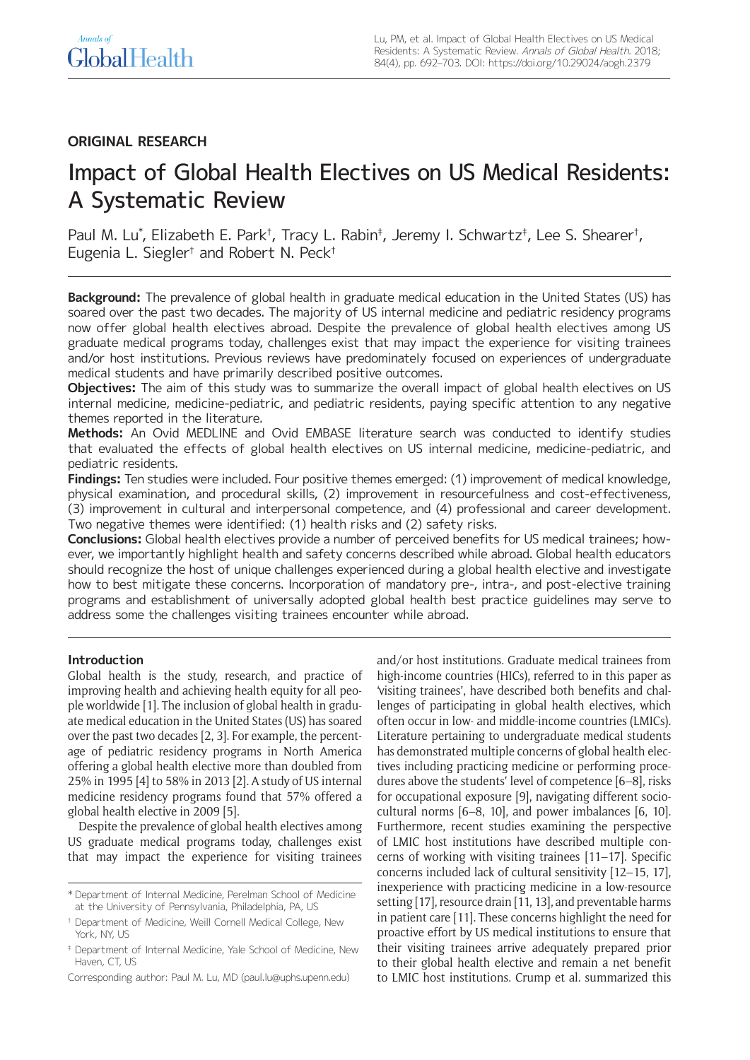# **ORIGINAL RESEARCH**

# Impact of Global Health Electives on US Medical Residents: A Systematic Review

Paul M. Lu\*, Elizabeth E. Park†, Tracy L. Rabin‡, Jeremy I. Schwartz‡, Lee S. Shearer†, Eugenia L. Siegler† and Robert N. Peck†

**Background:** The prevalence of global health in graduate medical education in the United States (US) has soared over the past two decades. The majority of US internal medicine and pediatric residency programs now offer global health electives abroad. Despite the prevalence of global health electives among US graduate medical programs today, challenges exist that may impact the experience for visiting trainees and/or host institutions. Previous reviews have predominately focused on experiences of undergraduate medical students and have primarily described positive outcomes.

**Objectives:** The aim of this study was to summarize the overall impact of global health electives on US internal medicine, medicine-pediatric, and pediatric residents, paying specific attention to any negative themes reported in the literature.

**Methods:** An Ovid MEDLINE and Ovid EMBASE literature search was conducted to identify studies that evaluated the effects of global health electives on US internal medicine, medicine-pediatric, and pediatric residents.

**Findings:** Ten studies were included. Four positive themes emerged: (1) improvement of medical knowledge, physical examination, and procedural skills, (2) improvement in resourcefulness and cost-effectiveness, (3) improvement in cultural and interpersonal competence, and (4) professional and career development. Two negative themes were identified: (1) health risks and (2) safety risks.

**Conclusions:** Global health electives provide a number of perceived benefits for US medical trainees; however, we importantly highlight health and safety concerns described while abroad. Global health educators should recognize the host of unique challenges experienced during a global health elective and investigate how to best mitigate these concerns. Incorporation of mandatory pre-, intra-, and post-elective training programs and establishment of universally adopted global health best practice guidelines may serve to address some the challenges visiting trainees encounter while abroad.

# **Introduction**

Global health is the study, research, and practice of improving health and achieving health equity for all people worldwide [1]. The inclusion of global health in graduate medical education in the United States (US) has soared over the past two decades [2, 3]. For example, the percentage of pediatric residency programs in North America offering a global health elective more than doubled from 25% in 1995 [4] to 58% in 2013 [2]. A study of US internal medicine residency programs found that 57% offered a global health elective in 2009 [5].

Despite the prevalence of global health electives among US graduate medical programs today, challenges exist that may impact the experience for visiting trainees and/or host institutions. Graduate medical trainees from high-income countries (HICs), referred to in this paper as 'visiting trainees', have described both benefits and challenges of participating in global health electives, which often occur in low- and middle-income countries (LMICs). Literature pertaining to undergraduate medical students has demonstrated multiple concerns of global health electives including practicing medicine or performing procedures above the students' level of competence [6–8], risks for occupational exposure [9], navigating different sociocultural norms [6–8, 10], and power imbalances [6, 10]. Furthermore, recent studies examining the perspective of LMIC host institutions have described multiple concerns of working with visiting trainees [11–17]. Specific concerns included lack of cultural sensitivity [12–15, 17], inexperience with practicing medicine in a low-resource setting [17], resource drain [11, 13], and preventable harms in patient care [11]. These concerns highlight the need for proactive effort by US medical institutions to ensure that their visiting trainees arrive adequately prepared prior to their global health elective and remain a net benefit to LMIC host institutions. Crump et al. summarized this

<sup>\*</sup> Department of Internal Medicine, Perelman School of Medicine at the University of Pennsylvania, Philadelphia, PA, US

<sup>†</sup> Department of Medicine, Weill Cornell Medical College, New York, NY, US

<sup>‡</sup> Department of Internal Medicine, Yale School of Medicine, New Haven, CT, US

Corresponding author: Paul M. Lu, MD [\(paul.lu@uphs.upenn.edu\)](mailto:paul.lu@uphs.upenn.edu)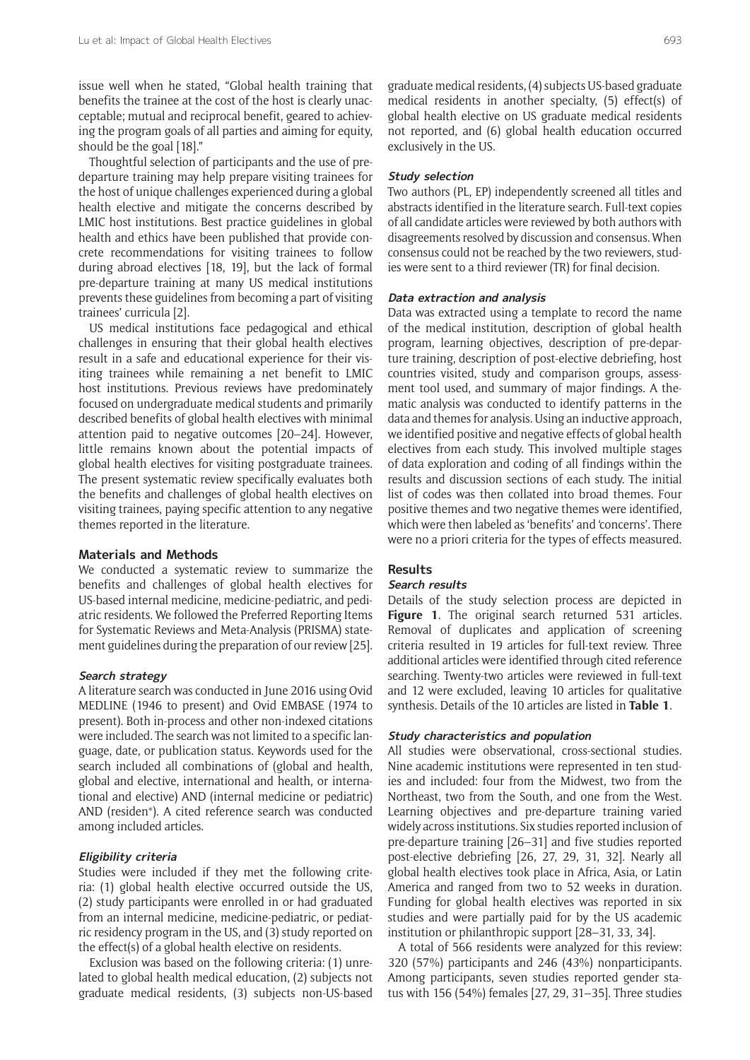issue well when he stated, "Global health training that benefits the trainee at the cost of the host is clearly unacceptable; mutual and reciprocal benefit, geared to achieving the program goals of all parties and aiming for equity, should be the goal [18]."

Thoughtful selection of participants and the use of predeparture training may help prepare visiting trainees for the host of unique challenges experienced during a global health elective and mitigate the concerns described by LMIC host institutions. Best practice guidelines in global health and ethics have been published that provide concrete recommendations for visiting trainees to follow during abroad electives [18, 19], but the lack of formal pre-departure training at many US medical institutions prevents these guidelines from becoming a part of visiting trainees' curricula [2].

US medical institutions face pedagogical and ethical challenges in ensuring that their global health electives result in a safe and educational experience for their visiting trainees while remaining a net benefit to LMIC host institutions. Previous reviews have predominately focused on undergraduate medical students and primarily described benefits of global health electives with minimal attention paid to negative outcomes [20–24]. However, little remains known about the potential impacts of global health electives for visiting postgraduate trainees. The present systematic review specifically evaluates both the benefits and challenges of global health electives on visiting trainees, paying specific attention to any negative themes reported in the literature.

## **Materials and Methods**

We conducted a systematic review to summarize the benefits and challenges of global health electives for US-based internal medicine, medicine-pediatric, and pediatric residents. We followed the Preferred Reporting Items for Systematic Reviews and Meta-Analysis (PRISMA) statement guidelines during the preparation of our review [25].

#### **Search strategy**

A literature search was conducted in June 2016 using Ovid MEDLINE (1946 to present) and Ovid EMBASE (1974 to present). Both in-process and other non-indexed citations were included. The search was not limited to a specific language, date, or publication status. Keywords used for the search included all combinations of (global and health, global and elective, international and health, or international and elective) AND (internal medicine or pediatric) AND (residen\*). A cited reference search was conducted among included articles.

# **Eligibility criteria**

Studies were included if they met the following criteria: (1) global health elective occurred outside the US, (2) study participants were enrolled in or had graduated from an internal medicine, medicine-pediatric, or pediatric residency program in the US, and (3) study reported on the effect(s) of a global health elective on residents.

Exclusion was based on the following criteria: (1) unrelated to global health medical education, (2) subjects not graduate medical residents, (3) subjects non-US-based graduate medical residents, (4) subjects US-based graduate medical residents in another specialty, (5) effect(s) of global health elective on US graduate medical residents not reported, and (6) global health education occurred exclusively in the US.

# **Study selection**

Two authors (PL, EP) independently screened all titles and abstracts identified in the literature search. Full-text copies of all candidate articles were reviewed by both authors with disagreements resolved by discussion and consensus. When consensus could not be reached by the two reviewers, studies were sent to a third reviewer (TR) for final decision.

# **Data extraction and analysis**

Data was extracted using a template to record the name of the medical institution, description of global health program, learning objectives, description of pre-departure training, description of post-elective debriefing, host countries visited, study and comparison groups, assessment tool used, and summary of major findings. A thematic analysis was conducted to identify patterns in the data and themes for analysis. Using an inductive approach, we identified positive and negative effects of global health electives from each study. This involved multiple stages of data exploration and coding of all findings within the results and discussion sections of each study. The initial list of codes was then collated into broad themes. Four positive themes and two negative themes were identified, which were then labeled as 'benefits' and 'concerns'. There were no a priori criteria for the types of effects measured.

# **Results**

# **Search results**

Details of the study selection process are depicted in Figure 1. The original search returned 531 articles. Removal of duplicates and application of screening criteria resulted in 19 articles for full-text review. Three additional articles were identified through cited reference searching. Twenty-two articles were reviewed in full-text and 12 were excluded, leaving 10 articles for qualitative synthesis. Details of the 10 articles are listed in **Table 1**.

# **Study characteristics and population**

All studies were observational, cross-sectional studies. Nine academic institutions were represented in ten studies and included: four from the Midwest, two from the Northeast, two from the South, and one from the West. Learning objectives and pre-departure training varied widely across institutions. Six studies reported inclusion of pre-departure training [26–31] and five studies reported post-elective debriefing [26, 27, 29, 31, 32]. Nearly all global health electives took place in Africa, Asia, or Latin America and ranged from two to 52 weeks in duration. Funding for global health electives was reported in six studies and were partially paid for by the US academic institution or philanthropic support [28–31, 33, 34].

A total of 566 residents were analyzed for this review: 320 (57%) participants and 246 (43%) nonparticipants. Among participants, seven studies reported gender status with 156 (54%) females [27, 29, 31–35]. Three studies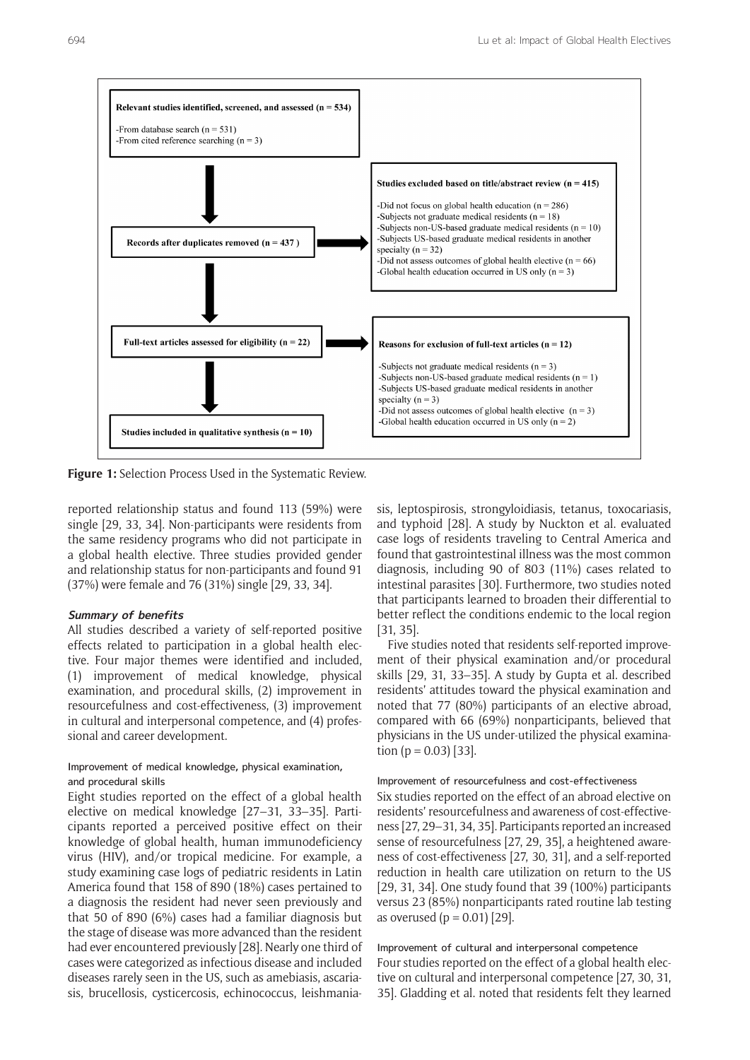

**Figure 1:** Selection Process Used in the Systematic Review.

reported relationship status and found 113 (59%) were single [29, 33, 34]. Non-participants were residents from the same residency programs who did not participate in a global health elective. Three studies provided gender and relationship status for non-participants and found 91 (37%) were female and 76 (31%) single [29, 33, 34].

#### **Summary of benefits**

All studies described a variety of self-reported positive effects related to participation in a global health elective. Four major themes were identified and included, (1) improvement of medical knowledge, physical examination, and procedural skills, (2) improvement in resourcefulness and cost-effectiveness, (3) improvement in cultural and interpersonal competence, and (4) professional and career development.

# Improvement of medical knowledge, physical examination, and procedural skills

Eight studies reported on the effect of a global health elective on medical knowledge [27–31, 33–35]. Participants reported a perceived positive effect on their knowledge of global health, human immunodeficiency virus (HIV), and/or tropical medicine. For example, a study examining case logs of pediatric residents in Latin America found that 158 of 890 (18%) cases pertained to a diagnosis the resident had never seen previously and that 50 of 890 (6%) cases had a familiar diagnosis but the stage of disease was more advanced than the resident had ever encountered previously [28]. Nearly one third of cases were categorized as infectious disease and included diseases rarely seen in the US, such as amebiasis, ascariasis, brucellosis, cysticercosis, echinococcus, leishmaniasis, leptospirosis, strongyloidiasis, tetanus, toxocariasis, and typhoid [28]. A study by Nuckton et al. evaluated case logs of residents traveling to Central America and found that gastrointestinal illness was the most common diagnosis, including 90 of 803 (11%) cases related to intestinal parasites [30]. Furthermore, two studies noted that participants learned to broaden their differential to better reflect the conditions endemic to the local region [31, 35].

Five studies noted that residents self-reported improvement of their physical examination and/or procedural skills [29, 31, 33–35]. A study by Gupta et al. described residents' attitudes toward the physical examination and noted that 77 (80%) participants of an elective abroad, compared with 66 (69%) nonparticipants, believed that physicians in the US under-utilized the physical examination ( $p = 0.03$ ) [33].

# Improvement of resourcefulness and cost-effectiveness Six studies reported on the effect of an abroad elective on residents' resourcefulness and awareness of cost-effectiveness [27, 29–31, 34, 35]. Participants reported an increased sense of resourcefulness [27, 29, 35], a heightened awareness of cost-effectiveness [27, 30, 31], and a self-reported reduction in health care utilization on return to the US [29, 31, 34]. One study found that 39 (100%) participants versus 23 (85%) nonparticipants rated routine lab testing as overused ( $p = 0.01$ ) [29].

# Improvement of cultural and interpersonal competence Four studies reported on the effect of a global health elective on cultural and interpersonal competence [27, 30, 31, 35]. Gladding et al. noted that residents felt they learned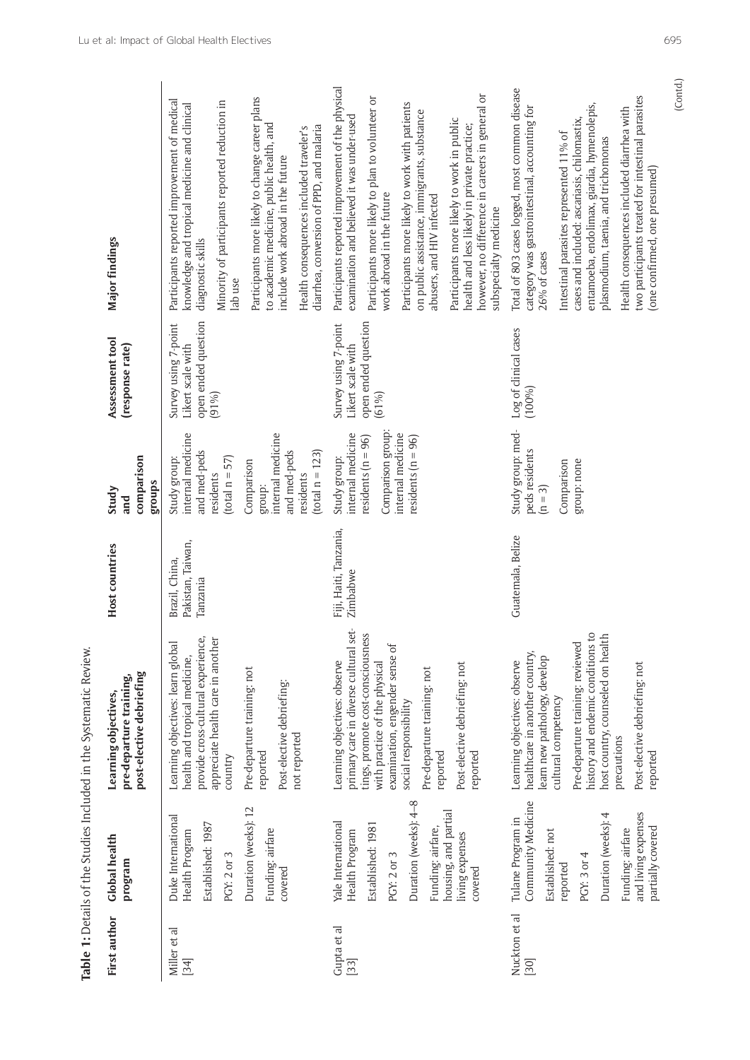|                       |                                                                                                                      | Table 1: Details of the Studies Included in the Systematic Review.                                                                                                                                 |                                                 |                                                                                                                                 |                                                                              |                                                                                                                                                                                                                                                                               |
|-----------------------|----------------------------------------------------------------------------------------------------------------------|----------------------------------------------------------------------------------------------------------------------------------------------------------------------------------------------------|-------------------------------------------------|---------------------------------------------------------------------------------------------------------------------------------|------------------------------------------------------------------------------|-------------------------------------------------------------------------------------------------------------------------------------------------------------------------------------------------------------------------------------------------------------------------------|
| First author          | <b>Global health</b><br>program                                                                                      | post-elective debriefing<br>pre-departure training,<br>Learning objectives,                                                                                                                        | Host countries                                  | comparison<br>groups<br>Study<br>and                                                                                            | Assessment tool<br>(response rate)                                           | Major findings                                                                                                                                                                                                                                                                |
| Miller et al<br>[34]  | Duration (weeks): 12<br>Duke International<br>Established: 1987<br>Health Program<br>Funding: airfare<br>PGY: 2 or 3 | provide cross-cultural experience,<br>appreciate health care in another<br>Learning objectives: learn globa<br>health and tropical medicine,<br>Pre-departure training: not<br>reported<br>country | Pakistan, Taiwan,<br>Brazil, China,<br>Tanzania | internal medicine<br>internal medicine<br>and med-peds<br>$(total n = 57)$<br>Study group:<br>Comparison<br>residents<br>group: | open ended question<br>Survey using 7-point<br>Likert scale with<br>$(91\%)$ | Participants more likely to change career plans<br>Participants reported improvement of medical<br>Minority of participants reported reduction in<br>knowledge and tropical medicine and clinical<br>to academic medicine, public health, and<br>diagnostic skills<br>lab use |
|                       | covered                                                                                                              | Post-elective debriefing:<br>not reported                                                                                                                                                          |                                                 | and med-peds<br>$(total n = 123)$<br>residents                                                                                  |                                                                              | diarrhea, conversion of PPD, and malaria<br>Health consequences included traveler's<br>include work abroad in the future                                                                                                                                                      |
| Gupta et al<br>$[33]$ | Yale International<br>Established: 1981<br>Health Program                                                            | set-<br>tings, promote cost-consciousness<br>primary care in diverse cultural<br>Learning objectives: observe<br>with practice of the physical                                                     | Fiji, Haiti, Tanzania,<br>Zimbabwe              | Comparison group:<br>internal medicine<br>residents $(n = 96)$<br>Study group:                                                  | open ended question<br>Survey using 7-point<br>Likert scale with<br>(61%)    | Participants reported improvement of the physical<br>Participants more likely to plan to volunteer or<br>examination and believed it was under-used<br>work abroad in the future                                                                                              |
|                       | Duration (weeks): 4-8<br>Funding: airfare,<br>PGY: 2 or 3                                                            | examination, engender sense of<br>Pre-departure training: not<br>social responsibility<br>reported                                                                                                 |                                                 | internal medicine<br>residents $(n = 96)$                                                                                       |                                                                              | Participants more likely to work with patients<br>on public assistance, immigrants, substance<br>abusers, and HIV infected                                                                                                                                                    |
|                       | housing, and partial<br>living expenses<br>covered                                                                   | Post-elective debriefing: not<br>reported                                                                                                                                                          |                                                 |                                                                                                                                 |                                                                              | however, no difference in careers in general or<br>Participants more likely to work in public<br>health and less likely in private practice;<br>subspecialty medicine                                                                                                         |
| Nuckton et al<br>[30] | Community Medicine<br>Tulane Program in<br>Established: not                                                          | healthcare in another country,<br>learn new pathology, develop<br>Learning objectives: observe                                                                                                     | Guatemala, Belize                               | Study group: med-<br>peds residents<br>$(n = 3)$                                                                                | Log of clinical cases<br>(100%                                               | Total of 803 cases logged, most common disease<br>category was gastrointestinal, accounting for<br>26% of cases                                                                                                                                                               |
|                       | Duration (weeks): 4<br>PGY: 3 or 4<br>reported                                                                       | $\frac{1}{2}$<br>host country, counseled on health<br>Pre-departure training: reviewed<br>history and endemic conditions<br>cultural competency                                                    |                                                 | group: none<br>Comparison                                                                                                       |                                                                              | entamoeba, endolimax, giardia, hymenolepis,<br>cases and included: ascariasis, chilomastix,<br>Intestinal parasites represented 11% of<br>plasmodium, taenia, and trichomonas                                                                                                 |
|                       | and living expenses<br>partially covered<br>Funding: airfare                                                         | Post-elective debriefing: not<br>precautions<br>reported                                                                                                                                           |                                                 |                                                                                                                                 |                                                                              | two participants treated for intestinal parasites<br>Health consequences included diarrhea with<br>(one confirmed, one presumed)                                                                                                                                              |
|                       |                                                                                                                      |                                                                                                                                                                                                    |                                                 |                                                                                                                                 |                                                                              | (Contd.)                                                                                                                                                                                                                                                                      |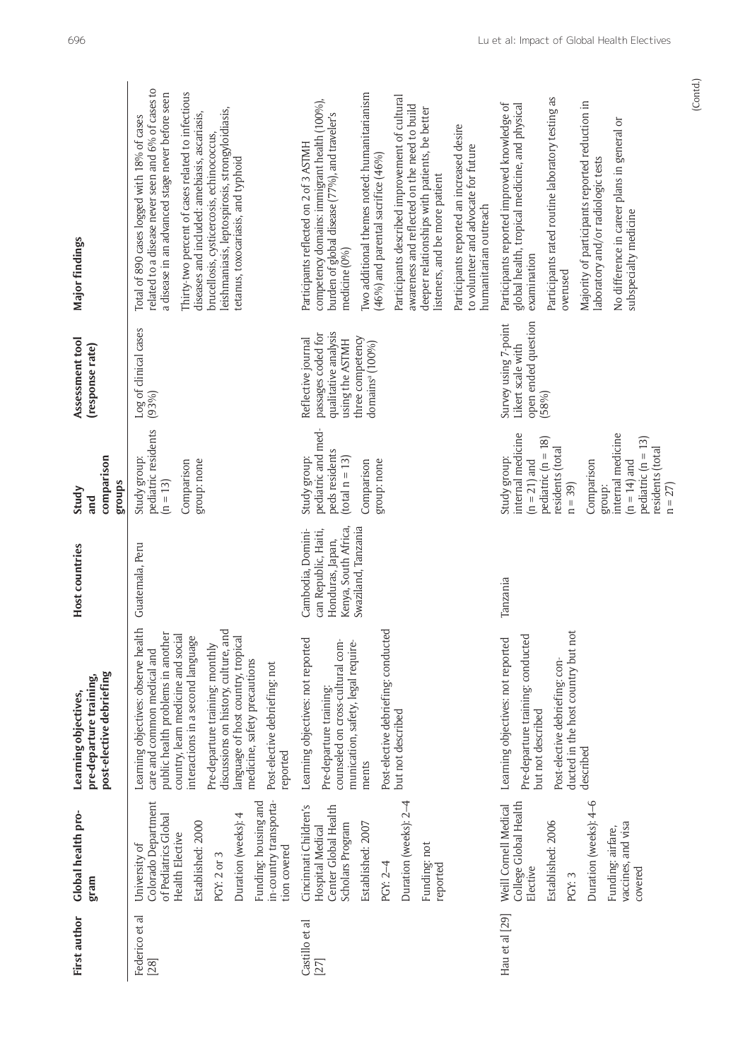| Major findings<br>Assessment tool<br>(response rate)                        | related to a disease never seen and 6% of cases to<br>Thirty-two percent of cases related to infectious<br>a disease in an advanced stage never before seen<br>leishmaniasis, leptospirosis, strongyloidiasis,<br>diseases and included: amebiasis, ascariasis,<br>Total of 890 cases logged with 18% of cases<br>brucellosis, cysticercosis, echinococcus,<br>tetanus, toxocariasis, and typhoid<br>Log of clinical cases<br>(93%) | Iwo additional themes noted: humanitarianism<br>Participants described improvement of cultural<br>competency domains: immigrant health (100%),<br>awareness and reflected on the need to build<br>deeper relationships with patients, be better<br>burden of global disease (77%), and traveler's<br>Participants reported an increased desire<br>Participants reflected on 2 of 3 ASTMH<br>to volunteer and advocate for future<br>$(46\% )$ and parental sacrifice $(46\% )$<br>listeners, and be more patient<br>humanitarian outreach<br>medicine (0%)<br>qualitative analysis<br>passages coded for<br>three competency<br>Reflective journal<br>using the ASTMH<br>domainsª (100%) | Participants rated routine laboratory testing as<br>Majority of participants reported reduction in<br>Participants reported improved knowledge of<br>global health, tropical medicine, and physical<br>No difference in career plans in general or<br>laboratory and/or radiologic tests<br>subspecialty medicine<br>examination<br>overused<br>open ended question<br>Survey using 7-point<br>Likert scale with<br>(58%) |
|-----------------------------------------------------------------------------|-------------------------------------------------------------------------------------------------------------------------------------------------------------------------------------------------------------------------------------------------------------------------------------------------------------------------------------------------------------------------------------------------------------------------------------|------------------------------------------------------------------------------------------------------------------------------------------------------------------------------------------------------------------------------------------------------------------------------------------------------------------------------------------------------------------------------------------------------------------------------------------------------------------------------------------------------------------------------------------------------------------------------------------------------------------------------------------------------------------------------------------|---------------------------------------------------------------------------------------------------------------------------------------------------------------------------------------------------------------------------------------------------------------------------------------------------------------------------------------------------------------------------------------------------------------------------|
| comparison<br>groups<br>Study<br>and                                        | pediatric residents<br>Study group:<br>group: none<br>Comparison<br>$(n = 13)$                                                                                                                                                                                                                                                                                                                                                      | pediatric and med-<br>peds residents<br>Study group:<br>$(t$ otal n = 13)<br>group: none<br>Comparison                                                                                                                                                                                                                                                                                                                                                                                                                                                                                                                                                                                   | internal medicine<br>internal medicine<br>$pediatric (n = 18)$<br>$pedi\textrm{atric}$ (n = 13)<br>residents (total<br>residents (total<br>Study group:<br>$(n = 21)$ and<br>$(n = 14)$ and<br>Comparison<br>$n = 39$<br>group:                                                                                                                                                                                           |
| <b>Host countries</b>                                                       | Guatemala, Peru                                                                                                                                                                                                                                                                                                                                                                                                                     | Kenya, South Africa,<br>Swaziland, Tanzania<br>Cambodia, Domini-<br>can Republic, Haiti,<br>Honduras, Japan,                                                                                                                                                                                                                                                                                                                                                                                                                                                                                                                                                                             | Tanzania                                                                                                                                                                                                                                                                                                                                                                                                                  |
| post-elective debriefing<br>pre-departure training,<br>Learning objectives, | Learning objectives: observe health<br>discussions on history, culture, and<br>public health problems in another<br>country, learn medicine and social<br>interactions in a second language<br>language of host country, tropical<br>Pre-departure training: monthly<br>care and common medical and<br>medicine, safety precautions<br>Post-elective debriefing: not<br>reported                                                    | Бè<br>Learning objectives: not reported<br>munication, safety, legal require-<br>Post-elective debriefing: conduct<br>counseled on cross-cultural com-<br>Pre-departure training:<br>but not described<br>ments                                                                                                                                                                                                                                                                                                                                                                                                                                                                          | $\overline{c}$<br>ਾ<br>Learning objectives: not reported<br>Pre-departure training: conducte<br>ducted in the host country but n<br>Post-elective debriefing: con-<br>but not described<br>described                                                                                                                                                                                                                      |
| Global health pro-<br>gram                                                  | in-country transporta-<br>Funding: housing and<br>Colorado Department<br>Duration (weeks): 4<br>of Pediatrics Global<br>Established: 2000<br><b>Health Elective</b><br>University of<br>tion covered<br>PGY: 2 or 3                                                                                                                                                                                                                 | Duration (weeks): 2-4<br>Center Global Health<br>Cincinnati Children's<br>Scholars Program<br>Established: 2007<br><b>Hospital Medical</b><br>Funding: not<br>PGY: 2-4<br>reported                                                                                                                                                                                                                                                                                                                                                                                                                                                                                                       | Duration (weeks): 4-6<br>College Global Health<br>Weill Cornell Medical<br>Established: 2006<br>vaccines, and visa<br>Funding: airfare,<br>covered<br>Elective<br>PGY: 3                                                                                                                                                                                                                                                  |
| <b>First author</b>                                                         | Federico et al<br>[28]                                                                                                                                                                                                                                                                                                                                                                                                              | Castillo et al<br>[27]                                                                                                                                                                                                                                                                                                                                                                                                                                                                                                                                                                                                                                                                   | Hau et al [29]                                                                                                                                                                                                                                                                                                                                                                                                            |

(Contd.)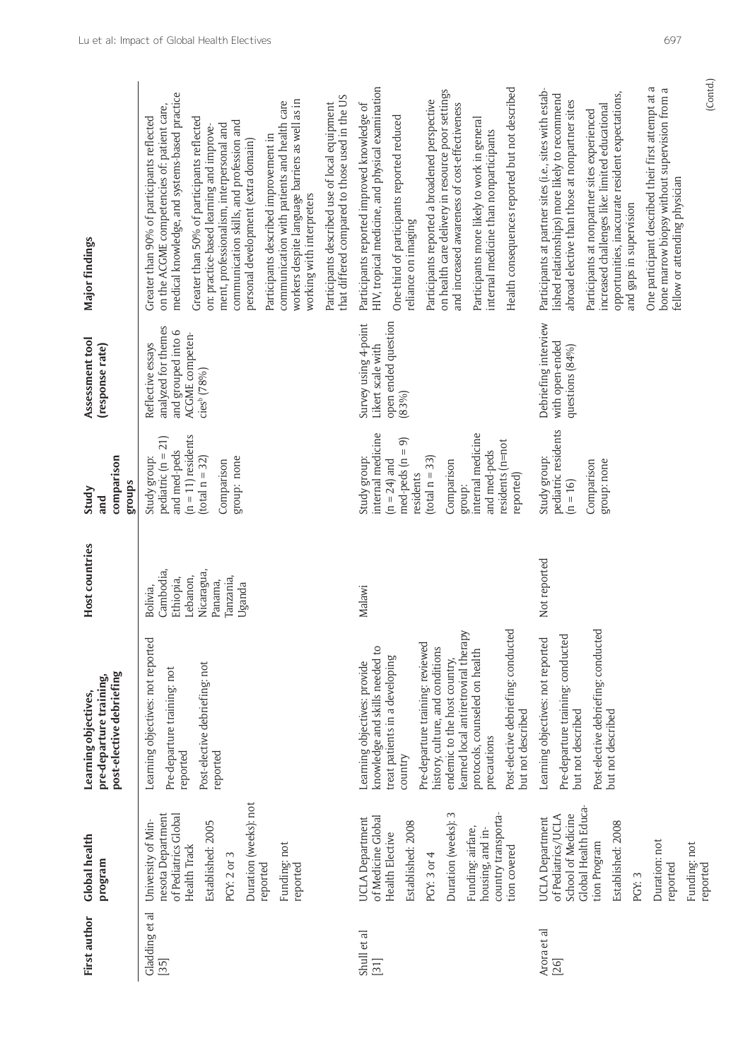| Gladding et al<br>First author | University of Min-<br><b>Global health</b><br>program                                                                                                                                                      | Learning objectives: not reported<br>post-elective debriefing<br>pre-departure training,<br>Learning objectives,                                                                                                                                                                                                                                                         | Host countries<br>Bolivia,                                                         | Study group:<br>comparison<br>groups<br>Study<br>and                                                                                                                                                        | Assessment tool<br>Reflective essays<br>(response rate)                                 | Greater than 90% of participants reflected<br>Major findings                                                                                                                                                                                                                                                                                                                                                                                                                                                                                                                                     |
|--------------------------------|------------------------------------------------------------------------------------------------------------------------------------------------------------------------------------------------------------|--------------------------------------------------------------------------------------------------------------------------------------------------------------------------------------------------------------------------------------------------------------------------------------------------------------------------------------------------------------------------|------------------------------------------------------------------------------------|-------------------------------------------------------------------------------------------------------------------------------------------------------------------------------------------------------------|-----------------------------------------------------------------------------------------|--------------------------------------------------------------------------------------------------------------------------------------------------------------------------------------------------------------------------------------------------------------------------------------------------------------------------------------------------------------------------------------------------------------------------------------------------------------------------------------------------------------------------------------------------------------------------------------------------|
|                                | Duration (weeks): not<br>nesota Department<br>of Pediatrics Global<br>Established: 2005<br>Funding: not<br>Health Track<br>PGY: 2 or 3<br>reported<br>reported                                             | Post-elective debriefing: not<br>Pre-departure training: not<br>reported<br>reported                                                                                                                                                                                                                                                                                     | Cambodia,<br>Nicaragua,<br>Lebanon,<br>Tanzania,<br>Ethiopia,<br>Panama,<br>Uganda | $(n = 11)$ residents<br>pediatric $(n = 21)$<br>and med-peds<br>$(total n = 32)$<br>group: none<br>Comparison                                                                                               | analyzed for themes<br>and grouped into 6<br>ACGME competen-<br>cies <sup>b</sup> (78%) | medical knowledge, and systems-based practice<br>that differed compared to those used in the US<br>workers despite language barriers as well as in<br>communication with patients and health care<br>Participants described use of local equipment<br>on the ACGME competencies of: patient care,<br>Greater than 50% of participants reflected<br>communication skills, and profession and<br>ment, professionalism, interpersonal and<br>on: practice-based learning and improve-<br>Participants described improvement in<br>personal development (extra domain)<br>working with interpreters |
|                                | Duration (weeks): 3<br>country transporta-<br>of Medicine Global<br>UCLA Department<br>Established: 2008<br>Funding: airfare,<br>housing, and in-<br><b>Health Elective</b><br>tion covered<br>PGY: 3 or 4 | Post-elective debriefing: conducted<br>learned local antiretroviral therapy<br>Pre-departure training: reviewed<br>knowledge and skills needed to<br>history, culture, and conditions<br>protocols, counseled on health<br>treat patients in a developing<br>endemic to the host country,<br>Learning objectives: provide<br>but not described<br>precautions<br>country | Malawi                                                                             | internal medicine<br>internal medicine<br>$med$ -peds $(n = 9)$<br>residents (n=not<br>and med-peds<br>$(total n = 33)$<br>Study group:<br>$(n = 24)$ and<br>Comparison<br>residents<br>reported)<br>group: | open ended question<br>Survey using 4-point<br>Likert scale with<br>(83%)               | HIV, tropical medicine, and physical examination<br>Health consequences reported but not described<br>on health care delivery in resource poor settings<br>Participants reported a broadened perspective<br>Participants reported improved knowledge of<br>and increased awareness of cost-effectiveness<br>One-third of participants reported reduced<br>Participants more likely to work in general<br>internal medicine than nonparticipants<br>reliance on imaging                                                                                                                           |
|                                | Global Health Educa-<br>School of Medicine<br>of Pediatrics/UCLA<br><b>UCLA</b> Department<br>Established: 2008<br>Duration: not<br>tion Program<br>Funding: not<br>reported<br>reported<br>PGY: 3         | Post-elective debriefing: conducted<br>Pre-departure training: conducted<br>Learning objectives: not reported<br>but not described<br>but not described                                                                                                                                                                                                                  | Not reported                                                                       | pediatric residents<br>Study group:<br>group: none<br>Comparison<br>$(n = 16)$                                                                                                                              | Debriefing interview<br>with open-ended<br>questions (84%)                              | (Contd.)<br>ß<br>bone marrow biopsy without supervision from a<br>Participants at partner sites (i.e., sites with estab-<br>opportunities, inaccurate resident expectations,<br>One participant described their first attempt at<br>lished relationships) more likely to recommend<br>abroad elective than those at nonpartner sites<br>increased challenges like: limited educational<br>Participants at nonpartner sites experienced<br>fellow or attending physician<br>and gaps in supervision                                                                                               |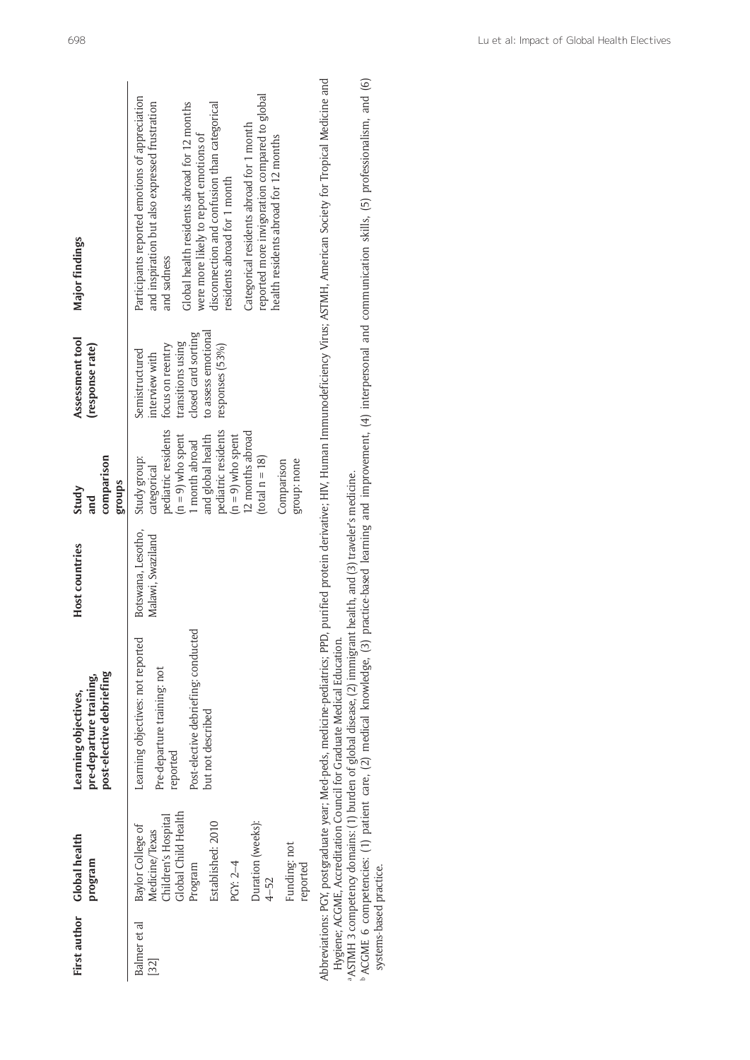| First author                                  | Global health<br>program                                                                                                                                                                   | post-elective debriefing<br>pre-departure training,<br>Learning objectives,                                                                                                                                                                                                                                                               | Host countries                          | comparison<br>groups<br>Study<br>and                                                                                                                                                                                                | Assessment tool<br>(response rate)                                                                                                         | <b>Major findings</b>                                                                                                                                                                                                                                                                                                                                                                                                           |
|-----------------------------------------------|--------------------------------------------------------------------------------------------------------------------------------------------------------------------------------------------|-------------------------------------------------------------------------------------------------------------------------------------------------------------------------------------------------------------------------------------------------------------------------------------------------------------------------------------------|-----------------------------------------|-------------------------------------------------------------------------------------------------------------------------------------------------------------------------------------------------------------------------------------|--------------------------------------------------------------------------------------------------------------------------------------------|---------------------------------------------------------------------------------------------------------------------------------------------------------------------------------------------------------------------------------------------------------------------------------------------------------------------------------------------------------------------------------------------------------------------------------|
| Balmer et al<br>$\left  \frac{32}{2} \right $ | Global Child Health<br>Children's Hospital<br>Duration (weeks):<br>Established: 2010<br>Baylor College of<br>Medicine/Texas<br>Funding: not<br>PGY: 2-4<br>reported<br>Program<br>$4 - 52$ | Post-elective debriefing: conducted<br>Learning objectives: not reported<br>Pre-departure training: not<br>but not described<br>reported                                                                                                                                                                                                  | Botswana, Lesotho,<br>Malawi, Swaziland | pediatric residents<br>pediatric residents<br>12 months abroad<br>$(n = 9)$ who spent<br>$(n = 9)$ who spent<br>and global health<br>1 month abroad<br>$(total n = 18)$<br>Study group:<br>group: none<br>Comparison<br>categorical | to assess emotional<br>closed card sorting<br>transitions using<br>focus on reentry<br>responses (53%)<br>Semistructured<br>interview with | reported more invigoration compared to global<br>Participants reported emotions of appreciation<br>Global health residents abroad for 12 months<br>disconnection and confusion than categorical<br>and inspiration but also expressed frustration<br>Categorical residents abroad for 1 month<br>were more likely to report emotions of<br>health residents abroad for 12 months<br>residents abroad for 1 month<br>and sadness |
| systems-based practice.                       |                                                                                                                                                                                            | ASTMH 3 competency domains: (1) burden of global disease, (2) immigrant health, and (3) traveler's medicine.<br>Abbreviations: PGY, postgraduate year; Med-peds, medicine-pediatrics; PPD,<br>Hygiene; ACGME, Accreditation Council for Graduate Medical Education.<br>ACGME 6 competencies: (1) patient care, (2) medical knowledge, (3) |                                         |                                                                                                                                                                                                                                     |                                                                                                                                            | practice-based learning and improvement, (4) interpersonal and communication skills, (5) professionalism, and (6)<br>purified protein derivative; HIV, Human Immunodeficiency Virus; ASTMH, American Society for Tropical Medicine and                                                                                                                                                                                          |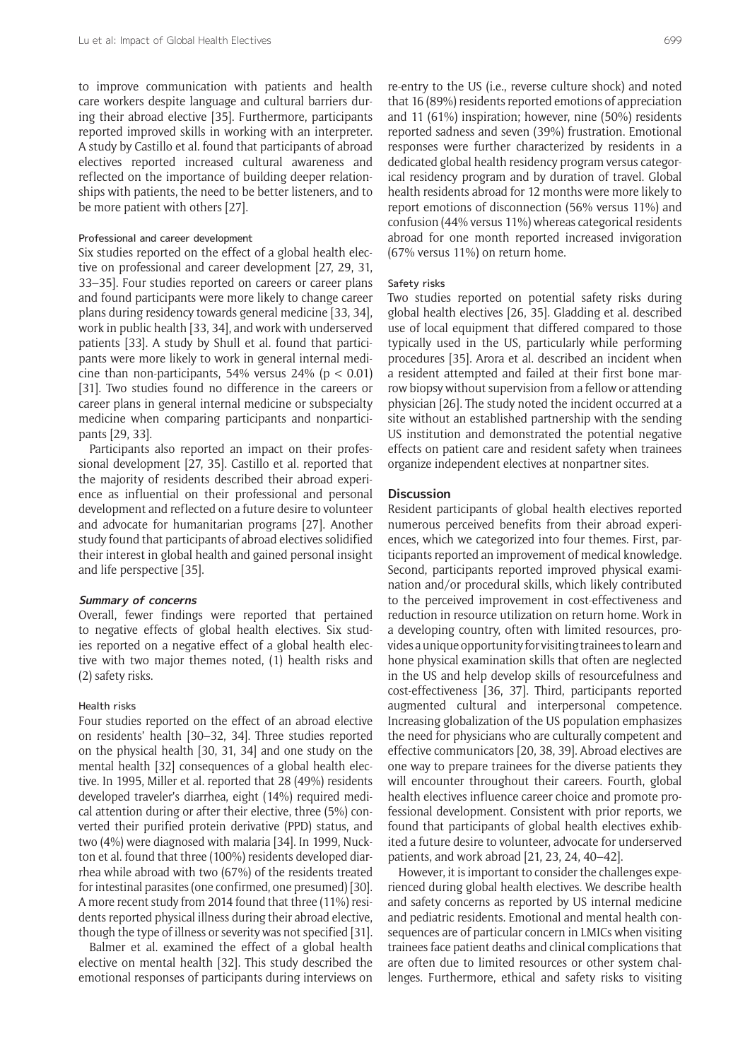to improve communication with patients and health care workers despite language and cultural barriers during their abroad elective [35]. Furthermore, participants reported improved skills in working with an interpreter. A study by Castillo et al. found that participants of abroad electives reported increased cultural awareness and reflected on the importance of building deeper relationships with patients, the need to be better listeners, and to be more patient with others [27].

## Professional and career development

Six studies reported on the effect of a global health elective on professional and career development [27, 29, 31, 33–35]. Four studies reported on careers or career plans and found participants were more likely to change career plans during residency towards general medicine [33, 34], work in public health [33, 34], and work with underserved patients [33]. A study by Shull et al. found that participants were more likely to work in general internal medicine than non-participants, 54% versus  $24\%$  (p < 0.01) [31]. Two studies found no difference in the careers or career plans in general internal medicine or subspecialty medicine when comparing participants and nonparticipants [29, 33].

Participants also reported an impact on their professional development [27, 35]. Castillo et al. reported that the majority of residents described their abroad experience as influential on their professional and personal development and reflected on a future desire to volunteer and advocate for humanitarian programs [27]. Another study found that participants of abroad electives solidified their interest in global health and gained personal insight and life perspective [35].

## **Summary of concerns**

Overall, fewer findings were reported that pertained to negative effects of global health electives. Six studies reported on a negative effect of a global health elective with two major themes noted, (1) health risks and (2) safety risks.

#### Health risks

Four studies reported on the effect of an abroad elective on residents' health [30–32, 34]. Three studies reported on the physical health [30, 31, 34] and one study on the mental health [32] consequences of a global health elective. In 1995, Miller et al. reported that 28 (49%) residents developed traveler's diarrhea, eight (14%) required medical attention during or after their elective, three (5%) converted their purified protein derivative (PPD) status, and two (4%) were diagnosed with malaria [34]. In 1999, Nuckton et al. found that three (100%) residents developed diarrhea while abroad with two (67%) of the residents treated for intestinal parasites (one confirmed, one presumed) [30]. A more recent study from 2014 found that three (11%) residents reported physical illness during their abroad elective, though the type of illness or severity was not specified [31].

Balmer et al. examined the effect of a global health elective on mental health [32]. This study described the emotional responses of participants during interviews on

re-entry to the US (i.e., reverse culture shock) and noted that 16 (89%) residents reported emotions of appreciation and 11 (61%) inspiration; however, nine (50%) residents reported sadness and seven (39%) frustration. Emotional responses were further characterized by residents in a dedicated global health residency program versus categorical residency program and by duration of travel. Global health residents abroad for 12 months were more likely to report emotions of disconnection (56% versus 11%) and confusion (44% versus 11%) whereas categorical residents abroad for one month reported increased invigoration (67% versus 11%) on return home.

## Safety risks

Two studies reported on potential safety risks during global health electives [26, 35]. Gladding et al. described use of local equipment that differed compared to those typically used in the US, particularly while performing procedures [35]. Arora et al. described an incident when a resident attempted and failed at their first bone marrow biopsy without supervision from a fellow or attending physician [26]. The study noted the incident occurred at a site without an established partnership with the sending US institution and demonstrated the potential negative effects on patient care and resident safety when trainees organize independent electives at nonpartner sites.

### **Discussion**

Resident participants of global health electives reported numerous perceived benefits from their abroad experiences, which we categorized into four themes. First, participants reported an improvement of medical knowledge. Second, participants reported improved physical examination and/or procedural skills, which likely contributed to the perceived improvement in cost-effectiveness and reduction in resource utilization on return home. Work in a developing country, often with limited resources, provides a unique opportunity for visiting trainees to learn and hone physical examination skills that often are neglected in the US and help develop skills of resourcefulness and cost-effectiveness [36, 37]. Third, participants reported augmented cultural and interpersonal competence. Increasing globalization of the US population emphasizes the need for physicians who are culturally competent and effective communicators [20, 38, 39]. Abroad electives are one way to prepare trainees for the diverse patients they will encounter throughout their careers. Fourth, global health electives influence career choice and promote professional development. Consistent with prior reports, we found that participants of global health electives exhibited a future desire to volunteer, advocate for underserved patients, and work abroad [21, 23, 24, 40–42].

However, it is important to consider the challenges experienced during global health electives. We describe health and safety concerns as reported by US internal medicine and pediatric residents. Emotional and mental health consequences are of particular concern in LMICs when visiting trainees face patient deaths and clinical complications that are often due to limited resources or other system challenges. Furthermore, ethical and safety risks to visiting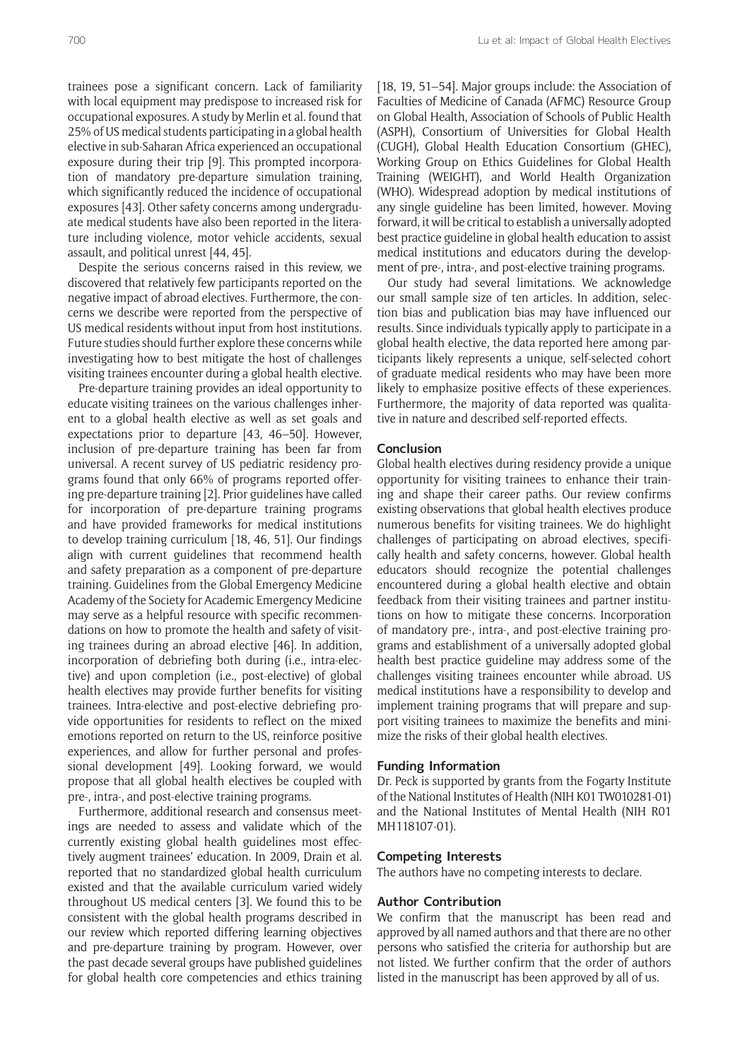trainees pose a significant concern. Lack of familiarity with local equipment may predispose to increased risk for occupational exposures. A study by Merlin et al. found that 25% of US medical students participating in a global health elective in sub-Saharan Africa experienced an occupational exposure during their trip [9]. This prompted incorporation of mandatory pre-departure simulation training, which significantly reduced the incidence of occupational exposures [43]. Other safety concerns among undergraduate medical students have also been reported in the literature including violence, motor vehicle accidents, sexual assault, and political unrest [44, 45].

Despite the serious concerns raised in this review, we discovered that relatively few participants reported on the negative impact of abroad electives. Furthermore, the concerns we describe were reported from the perspective of US medical residents without input from host institutions. Future studies should further explore these concerns while investigating how to best mitigate the host of challenges visiting trainees encounter during a global health elective.

Pre-departure training provides an ideal opportunity to educate visiting trainees on the various challenges inherent to a global health elective as well as set goals and expectations prior to departure [43, 46–50]. However, inclusion of pre-departure training has been far from universal. A recent survey of US pediatric residency programs found that only 66% of programs reported offering pre-departure training [2]. Prior guidelines have called for incorporation of pre-departure training programs and have provided frameworks for medical institutions to develop training curriculum [18, 46, 51]. Our findings align with current guidelines that recommend health and safety preparation as a component of pre-departure training. Guidelines from the Global Emergency Medicine Academy of the Society for Academic Emergency Medicine may serve as a helpful resource with specific recommendations on how to promote the health and safety of visiting trainees during an abroad elective [46]. In addition, incorporation of debriefing both during (i.e., intra-elective) and upon completion (i.e., post-elective) of global health electives may provide further benefits for visiting trainees. Intra-elective and post-elective debriefing provide opportunities for residents to reflect on the mixed emotions reported on return to the US, reinforce positive experiences, and allow for further personal and professional development [49]. Looking forward, we would propose that all global health electives be coupled with pre-, intra-, and post-elective training programs.

Furthermore, additional research and consensus meetings are needed to assess and validate which of the currently existing global health guidelines most effectively augment trainees' education. In 2009, Drain et al. reported that no standardized global health curriculum existed and that the available curriculum varied widely throughout US medical centers [3]. We found this to be consistent with the global health programs described in our review which reported differing learning objectives and pre-departure training by program. However, over the past decade several groups have published guidelines for global health core competencies and ethics training

[18, 19, 51-54]. Major groups include: the Association of Faculties of Medicine of Canada (AFMC) Resource Group on Global Health, Association of Schools of Public Health (ASPH), Consortium of Universities for Global Health (CUGH), Global Health Education Consortium (GHEC), Working Group on Ethics Guidelines for Global Health Training (WEIGHT), and World Health Organization (WHO). Widespread adoption by medical institutions of any single guideline has been limited, however. Moving forward, it will be critical to establish a universally adopted best practice guideline in global health education to assist medical institutions and educators during the development of pre-, intra-, and post-elective training programs.

Our study had several limitations. We acknowledge our small sample size of ten articles. In addition, selection bias and publication bias may have influenced our results. Since individuals typically apply to participate in a global health elective, the data reported here among participants likely represents a unique, self-selected cohort of graduate medical residents who may have been more likely to emphasize positive effects of these experiences. Furthermore, the majority of data reported was qualitative in nature and described self-reported effects.

# **Conclusion**

Global health electives during residency provide a unique opportunity for visiting trainees to enhance their training and shape their career paths. Our review confirms existing observations that global health electives produce numerous benefits for visiting trainees. We do highlight challenges of participating on abroad electives, specifically health and safety concerns, however. Global health educators should recognize the potential challenges encountered during a global health elective and obtain feedback from their visiting trainees and partner institutions on how to mitigate these concerns. Incorporation of mandatory pre-, intra-, and post-elective training programs and establishment of a universally adopted global health best practice guideline may address some of the challenges visiting trainees encounter while abroad. US medical institutions have a responsibility to develop and implement training programs that will prepare and support visiting trainees to maximize the benefits and minimize the risks of their global health electives.

## **Funding Information**

Dr. Peck is supported by grants from the Fogarty Institute of the National Institutes of Health (NIH K01 TW010281-01) and the National Institutes of Mental Health (NIH R01 MH118107-01).

## **Competing Interests**

The authors have no competing interests to declare.

# **Author Contribution**

We confirm that the manuscript has been read and approved by all named authors and that there are no other persons who satisfied the criteria for authorship but are not listed. We further confirm that the order of authors listed in the manuscript has been approved by all of us.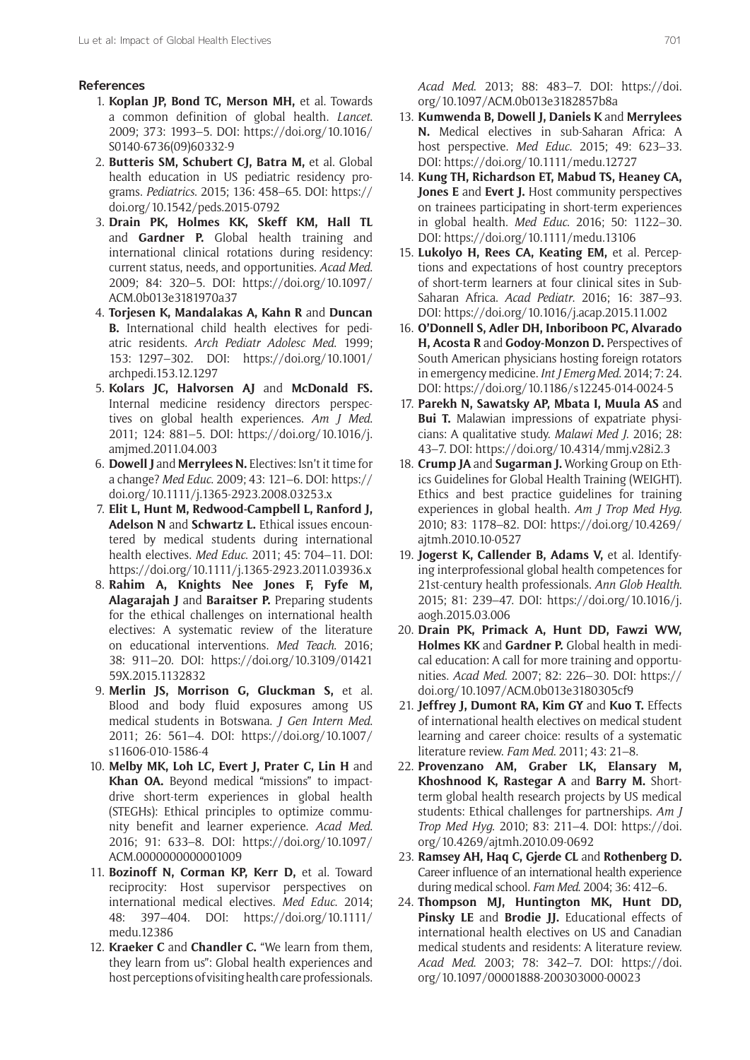# **References**

- 1. **Koplan JP, Bond TC, Merson MH,** et al. Towards a common definition of global health. *Lancet*. 2009; 373: 1993–5. DOI: [https://doi.org/10.1016/](https://doi.org/10.1016/S0140-6736(09)60332-9) [S0140-6736\(09\)60332-9](https://doi.org/10.1016/S0140-6736(09)60332-9)
- 2. **Butteris SM, Schubert CJ, Batra M,** et al. Global health education in US pediatric residency programs. *Pediatrics*. 2015; 136: 458–65. DOI: [https://](https://doi.org/10.1542/peds.2015-0792) [doi.org/10.1542/peds.2015-0792](https://doi.org/10.1542/peds.2015-0792)
- 3. **Drain PK, Holmes KK, Skeff KM, Hall TL**  and **Gardner P.** Global health training and international clinical rotations during residency: current status, needs, and opportunities. *Acad Med*. 2009; 84: 320–5. DOI: [https://doi.org/10.1097/](https://doi.org/10.1097/ACM.0b013e3181970a37) [ACM.0b013e3181970a37](https://doi.org/10.1097/ACM.0b013e3181970a37)
- 4. **Torjesen K, Mandalakas A, Kahn R** and **Duncan B.** International child health electives for pediatric residents. *Arch Pediatr Adolesc Med*. 1999; 153: 1297–302. DOI: [https://doi.org/10.1001/](https://doi.org/10.1001/archpedi.153.12.1297) [archpedi.153.12.1297](https://doi.org/10.1001/archpedi.153.12.1297)
- 5. **Kolars JC, Halvorsen AJ** and **McDonald FS.** Internal medicine residency directors perspectives on global health experiences. *Am J Med*. 2011; 124: 881–5. DOI: [https://doi.org/10.1016/j.](https://doi.org/10.1016/j.amjmed.2011.04.003) [amjmed.2011.04.003](https://doi.org/10.1016/j.amjmed.2011.04.003)
- 6. **Dowell J** and **Merrylees N.** Electives: Isn't it time for a change? *Med Educ*. 2009; 43: 121–6. DOI: [https://](https://doi.org/10.1111/j.1365-2923.2008.03253.x) [doi.org/10.1111/j.1365-2923.2008.03253.x](https://doi.org/10.1111/j.1365-2923.2008.03253.x)
- 7. **Elit L, Hunt M, Redwood-Campbell L, Ranford J, Adelson N** and **Schwartz L.** Ethical issues encountered by medical students during international health electives. *Med Educ*. 2011; 45: 704–11. DOI: <https://doi.org/10.1111/j.1365-2923.2011.03936.x>
- 8. **Rahim A, Knights Nee Jones F, Fyfe M, Alagarajah J** and **Baraitser P.** Preparing students for the ethical challenges on international health electives: A systematic review of the literature on educational interventions. *Med Teach*. 2016; 38: 911–20. DOI: [https://doi.org/10.3109/01421](https://doi.org/10.3109/0142159X.2015.1132832) [59X.2015.1132832](https://doi.org/10.3109/0142159X.2015.1132832)
- 9. **Merlin JS, Morrison G, Gluckman S,** et al. Blood and body fluid exposures among US medical students in Botswana. *J Gen Intern Med*. 2011; 26: 561–4. DOI: [https://doi.org/10.1007/](https://doi.org/10.1007/s11606-010-1586-4) [s11606-010-1586-4](https://doi.org/10.1007/s11606-010-1586-4)
- 10. **Melby MK, Loh LC, Evert J, Prater C, Lin H** and **Khan OA.** Beyond medical "missions" to impactdrive short-term experiences in global health (STEGHs): Ethical principles to optimize community benefit and learner experience. *Acad Med*. 2016; 91: 633–8. DOI: [https://doi.org/10.1097/](https://doi.org/10.1097/ACM.0000000000001009) [ACM.0000000000001009](https://doi.org/10.1097/ACM.0000000000001009)
- 11. **Bozinoff N, Corman KP, Kerr D,** et al. Toward reciprocity: Host supervisor perspectives on international medical electives. *Med Educ*. 2014; 48: 397–404. DOI: [https://doi.org/10.1111/](https://doi.org/10.1111/medu.12386) [medu.12386](https://doi.org/10.1111/medu.12386)
- 12. **Kraeker C** and **Chandler C.** "We learn from them, they learn from us": Global health experiences and host perceptions of visiting health care professionals.

*Acad Med*. 2013; 88: 483–7. DOI: [https://doi.](https://doi.org/10.1097/ACM.0b013e3182857b8a) [org/10.1097/ACM.0b013e3182857b8a](https://doi.org/10.1097/ACM.0b013e3182857b8a)

- 13. **Kumwenda B, Dowell J, Daniels K** and **Merrylees N.** Medical electives in sub-Saharan Africa: A host perspective. *Med Educ*. 2015; 49: 623–33. DOI: <https://doi.org/10.1111/medu.12727>
- 14. **Kung TH, Richardson ET, Mabud TS, Heaney CA, Jones E** and **Evert J.** Host community perspectives on trainees participating in short-term experiences in global health. *Med Educ*. 2016; 50: 1122–30. DOI: <https://doi.org/10.1111/medu.13106>
- 15. **Lukolyo H, Rees CA, Keating EM,** et al. Perceptions and expectations of host country preceptors of short-term learners at four clinical sites in Sub-Saharan Africa. *Acad Pediatr*. 2016; 16: 387–93. DOI: <https://doi.org/10.1016/j.acap.2015.11.002>
- 16. **O'Donnell S, Adler DH, Inboriboon PC, Alvarado H, Acosta R** and **Godoy-Monzon D.** Perspectives of South American physicians hosting foreign rotators in emergency medicine. *Int J Emerg Med*. 2014; 7: 24. DOI: <https://doi.org/10.1186/s12245-014-0024-5>
- 17. **Parekh N, Sawatsky AP, Mbata I, Muula AS** and **Bui T.** Malawian impressions of expatriate physicians: A qualitative study. *Malawi Med J*. 2016; 28: 43–7. DOI:<https://doi.org/10.4314/mmj.v28i2.3>
- 18. **Crump JA** and **Sugarman J.** Working Group on Ethics Guidelines for Global Health Training (WEIGHT). Ethics and best practice guidelines for training experiences in global health. *Am J Trop Med Hyg*. 2010; 83: 1178–82. DOI: [https://doi.org/10.4269/](https://doi.org/10.4269/ajtmh.2010.10-0527) [ajtmh.2010.10-0527](https://doi.org/10.4269/ajtmh.2010.10-0527)
- 19. **Jogerst K, Callender B, Adams V,** et al. Identifying interprofessional global health competences for 21st-century health professionals. *Ann Glob Health*. 2015; 81: 239–47. DOI: [https://doi.org/10.1016/j.](https://doi.org/10.1016/j.aogh.2015.03.006) [aogh.2015.03.006](https://doi.org/10.1016/j.aogh.2015.03.006)
- 20. **Drain PK, Primack A, Hunt DD, Fawzi WW, Holmes KK** and **Gardner P.** Global health in medical education: A call for more training and opportunities. *Acad Med*. 2007; 82: 226–30. DOI: [https://](https://doi.org/10.1097/ACM.0b013e3180305cf9) [doi.org/10.1097/ACM.0b013e3180305cf9](https://doi.org/10.1097/ACM.0b013e3180305cf9)
- 21. **Jeffrey J, Dumont RA, Kim GY** and **Kuo T.** Effects of international health electives on medical student learning and career choice: results of a systematic literature review. *Fam Med*. 2011; 43: 21–8.
- 22. **Provenzano AM, Graber LK, Elansary M, Khoshnood K, Rastegar A** and **Barry M.** Shortterm global health research projects by US medical students: Ethical challenges for partnerships. *Am J Trop Med Hyg*. 2010; 83: 211–4. DOI: [https://doi.](https://doi.org/10.4269/ajtmh.2010.09-0692) [org/10.4269/ajtmh.2010.09-0692](https://doi.org/10.4269/ajtmh.2010.09-0692)
- 23. **Ramsey AH, Haq C, Gjerde CL** and **Rothenberg D.** Career influence of an international health experience during medical school. *Fam Med*. 2004; 36: 412–6.
- 24. **Thompson MJ, Huntington MK, Hunt DD, Pinsky LE** and **Brodie JJ.** Educational effects of international health electives on US and Canadian medical students and residents: A literature review. *Acad Med*. 2003; 78: 342–7. DOI: [https://doi.](https://doi.org/10.1097/00001888-200303000-00023) [org/10.1097/00001888-200303000-00023](https://doi.org/10.1097/00001888-200303000-00023)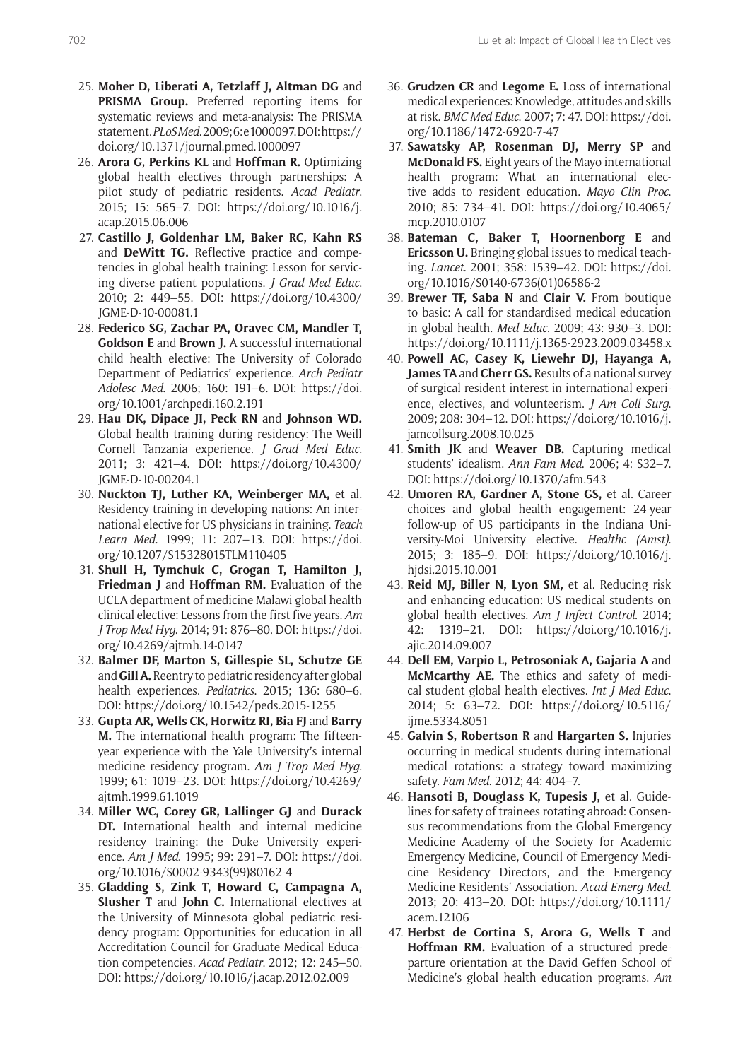- 25. **Moher D, Liberati A, Tetzlaff J, Altman DG** and **PRISMA Group.** Preferred reporting items for systematic reviews and meta-analysis: The PRISMA statement. *PLoS Med*. 2009; 6: e1000097. DOI: [https://](https://doi.org/10.1371/journal.pmed.1000097) [doi.org/10.1371/journal.pmed.1000097](https://doi.org/10.1371/journal.pmed.1000097)
- 26. **Arora G, Perkins KL** and **Hoffman R.** Optimizing global health electives through partnerships: A pilot study of pediatric residents. *Acad Pediatr*. 2015; 15: 565–7. DOI: [https://doi.org/10.1016/j.](https://doi.org/10.1016/j.acap.2015.06.006) [acap.2015.06.006](https://doi.org/10.1016/j.acap.2015.06.006)
- 27. **Castillo J, Goldenhar LM, Baker RC, Kahn RS**  and **DeWitt TG.** Reflective practice and competencies in global health training: Lesson for servicing diverse patient populations. *J Grad Med Educ*. 2010; 2: 449–55. DOI: [https://doi.org/10.4300/](https://doi.org/10.4300/JGME-D-10-00081.1) [JGME-D-10-00081.1](https://doi.org/10.4300/JGME-D-10-00081.1)
- 28. **Federico SG, Zachar PA, Oravec CM, Mandler T, Goldson E** and **Brown J.** A successful international child health elective: The University of Colorado Department of Pediatrics' experience. *Arch Pediatr Adolesc Med*. 2006; 160: 191–6. DOI: [https://doi.](https://doi.org/10.1001/archpedi.160.2.191) [org/10.1001/archpedi.160.2.191](https://doi.org/10.1001/archpedi.160.2.191)
- 29. **Hau DK, Dipace JI, Peck RN** and **Johnson WD.** Global health training during residency: The Weill Cornell Tanzania experience. *J Grad Med Educ*. 2011; 3: 421–4. DOI: [https://doi.org/10.4300/](https://doi.org/10.4300/JGME-D-10-00204.1) [JGME-D-10-00204.1](https://doi.org/10.4300/JGME-D-10-00204.1)
- 30. **Nuckton TJ, Luther KA, Weinberger MA,** et al. Residency training in developing nations: An international elective for US physicians in training. *Teach Learn Med*. 1999; 11: 207–13. DOI: [https://doi.](https://doi.org/10.1207/S15328015TLM110405) [org/10.1207/S15328015TLM110405](https://doi.org/10.1207/S15328015TLM110405)
- 31. **Shull H, Tymchuk C, Grogan T, Hamilton J, Friedman J** and **Hoffman RM.** Evaluation of the UCLA department of medicine Malawi global health clinical elective: Lessons from the first five years. *Am J Trop Med Hyg*. 2014; 91: 876–80. DOI: [https://doi.](https://doi.org/10.4269/ajtmh.14-0147) [org/10.4269/ajtmh.14-0147](https://doi.org/10.4269/ajtmh.14-0147)
- 32. **Balmer DF, Marton S, Gillespie SL, Schutze GE**  and **Gill A.** Reentry to pediatric residency after global health experiences. *Pediatrics*. 2015; 136: 680–6. DOI: <https://doi.org/10.1542/peds.2015-1255>
- 33. **Gupta AR, Wells CK, Horwitz RI, Bia FJ** and **Barry M.** The international health program: The fifteenyear experience with the Yale University's internal medicine residency program. *Am J Trop Med Hyg*. 1999; 61: 1019–23. DOI: [https://doi.org/10.4269/](https://doi.org/10.4269/ajtmh.1999.61.1019) [ajtmh.1999.61.1019](https://doi.org/10.4269/ajtmh.1999.61.1019)
- 34. **Miller WC, Corey GR, Lallinger GJ** and **Durack DT.** International health and internal medicine residency training: the Duke University experience. *Am J Med*. 1995; 99: 291–7. DOI: [https://doi.](https://doi.org/10.1016/S0002-9343(99)80162-4) [org/10.1016/S0002-9343\(99\)80162-4](https://doi.org/10.1016/S0002-9343(99)80162-4)
- 35. **Gladding S, Zink T, Howard C, Campagna A, Slusher T** and **John C.** International electives at the University of Minnesota global pediatric residency program: Opportunities for education in all Accreditation Council for Graduate Medical Education competencies. *Acad Pediatr*. 2012; 12: 245–50. DOI: <https://doi.org/10.1016/j.acap.2012.02.009>
- 36. **Grudzen CR** and **Legome E.** Loss of international medical experiences: Knowledge, attitudes and skills at risk. *BMC Med Educ*. 2007; 7: 47. DOI: [https://doi.](https://doi.org/10.1186/1472-6920-7-47) [org/10.1186/1472-6920-7-47](https://doi.org/10.1186/1472-6920-7-47)
- 37. **Sawatsky AP, Rosenman DJ, Merry SP** and **McDonald FS.** Eight years of the Mayo international health program: What an international elective adds to resident education. *Mayo Clin Proc*. 2010; 85: 734–41. DOI: [https://doi.org/10.4065/](https://doi.org/10.4065/mcp.2010.0107) [mcp.2010.0107](https://doi.org/10.4065/mcp.2010.0107)
- 38. **Bateman C, Baker T, Hoornenborg E** and **Ericsson U.** Bringing global issues to medical teaching. *Lancet*. 2001; 358: 1539–42. DOI: [https://doi.](https://doi.org/10.1016/S0140-6736(01)06586-2) [org/10.1016/S0140-6736\(01\)06586-2](https://doi.org/10.1016/S0140-6736(01)06586-2)
- 39. **Brewer TF, Saba N** and **Clair V.** From boutique to basic: A call for standardised medical education in global health. *Med Educ*. 2009; 43: 930–3. DOI: <https://doi.org/10.1111/j.1365-2923.2009.03458.x>
- 40. **Powell AC, Casey K, Liewehr DJ, Hayanga A, James TA** and **Cherr GS.** Results of a national survey of surgical resident interest in international experience, electives, and volunteerism. *J Am Coll Surg*. 2009; 208: 304–12. DOI: [https://doi.org/10.1016/j.](https://doi.org/10.1016/j.jamcollsurg.2008.10.025) [jamcollsurg.2008.10.025](https://doi.org/10.1016/j.jamcollsurg.2008.10.025)
- 41. **Smith JK** and **Weaver DB.** Capturing medical students' idealism. *Ann Fam Med*. 2006; 4: S32–7. DOI:<https://doi.org/10.1370/afm.543>
- 42. **Umoren RA, Gardner A, Stone GS,** et al. Career choices and global health engagement: 24-year follow-up of US participants in the Indiana University-Moi University elective. *Healthc (Amst)*. 2015; 3: 185–9. DOI: [https://doi.org/10.1016/j.](https://doi.org/10.1016/j.hjdsi.2015.10.001) [hjdsi.2015.10.001](https://doi.org/10.1016/j.hjdsi.2015.10.001)
- 43. **Reid MJ, Biller N, Lyon SM,** et al. Reducing risk and enhancing education: US medical students on global health electives. *Am J Infect Control*. 2014; 42: 1319–21. DOI: [https://doi.org/10.1016/j.](https://doi.org/10.1016/j.ajic.2014.09.007) [ajic.2014.09.007](https://doi.org/10.1016/j.ajic.2014.09.007)
- 44. **Dell EM, Varpio L, Petrosoniak A, Gajaria A** and **McMcarthy AE.** The ethics and safety of medical student global health electives. *Int J Med Educ*. 2014; 5: 63–72. DOI: [https://doi.org/10.5116/](https://doi.org/10.5116/ijme.5334.8051) [ijme.5334.8051](https://doi.org/10.5116/ijme.5334.8051)
- 45. **Galvin S, Robertson R** and **Hargarten S.** Injuries occurring in medical students during international medical rotations: a strategy toward maximizing safety. *Fam Med*. 2012; 44: 404–7.
- 46. **Hansoti B, Douglass K, Tupesis J,** et al. Guidelines for safety of trainees rotating abroad: Consensus recommendations from the Global Emergency Medicine Academy of the Society for Academic Emergency Medicine, Council of Emergency Medicine Residency Directors, and the Emergency Medicine Residents' Association. *Acad Emerg Med*. 2013; 20: 413–20. DOI: [https://doi.org/10.1111/](https://doi.org/10.1111/acem.12106) [acem.12106](https://doi.org/10.1111/acem.12106)
- 47. **Herbst de Cortina S, Arora G, Wells T** and **Hoffman RM.** Evaluation of a structured predeparture orientation at the David Geffen School of Medicine's global health education programs. *Am*